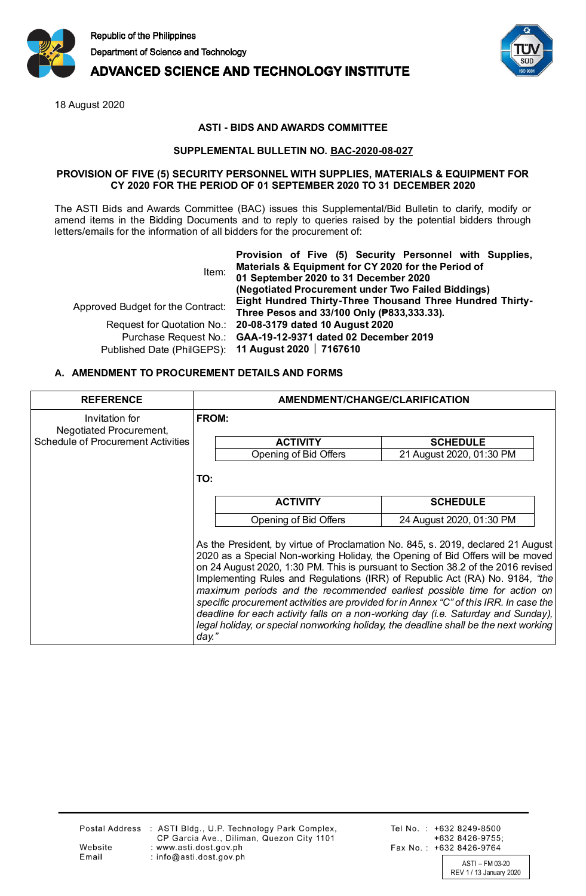

**ADVANCED SCIENCE AND TECHNOLOGY INSTITUTE** 

18 August 2020



## **ASTI - BIDS AND AWARDS COMMITTEE**

## **SUPPLEMENTAL BULLETIN NO. BAC-2020-08-027**

#### **PROVISION OF FIVE (5) SECURITY PERSONNEL WITH SUPPLIES, MATERIALS & EQUIPMENT FOR CY 2020 FOR THE PERIOD OF 01 SEPTEMBER 2020 TO 31 DECEMBER 2020**

The ASTI Bids and Awards Committee (BAC) issues this Supplemental/Bid Bulletin to clarify, modify or amend items in the Bidding Documents and to reply to queries raised by the potential bidders through letters/emails for the information of all bidders for the procurement of:

| Item:                             | Provision of Five (5) Security Personnel with Supplies,<br>Materials & Equipment for CY 2020 for the Period of<br>01 September 2020 to 31 December 2020<br>(Negotiated Procurement under Two Failed Biddings) |  |
|-----------------------------------|---------------------------------------------------------------------------------------------------------------------------------------------------------------------------------------------------------------|--|
| Approved Budget for the Contract: | Eight Hundred Thirty-Three Thousand Three Hundred Thirty-<br>Three Pesos and 33/100 Only (P833,333.33).                                                                                                       |  |
|                                   | Request for Quotation No.: 20-08-3179 dated 10 August 2020                                                                                                                                                    |  |
|                                   | Purchase Request No.: GAA-19-12-9371 dated 02 December 2019                                                                                                                                                   |  |
|                                   | Published Date (PhilGEPS): 11 August 2020   7167610                                                                                                                                                           |  |

### **A. AMENDMENT TO PROCUREMENT DETAILS AND FORMS**

| <b>REFERENCE</b>                          | AMENDMENT/CHANGE/CLARIFICATION                                                                                                                                                                                                                                                                                                                                                                                                                                                                                                                                                                                                                                                                     |                          |  |
|-------------------------------------------|----------------------------------------------------------------------------------------------------------------------------------------------------------------------------------------------------------------------------------------------------------------------------------------------------------------------------------------------------------------------------------------------------------------------------------------------------------------------------------------------------------------------------------------------------------------------------------------------------------------------------------------------------------------------------------------------------|--------------------------|--|
| Invitation for<br>Negotiated Procurement, | <b>FROM:</b>                                                                                                                                                                                                                                                                                                                                                                                                                                                                                                                                                                                                                                                                                       |                          |  |
| <b>Schedule of Procurement Activities</b> | <b>ACTIVITY</b>                                                                                                                                                                                                                                                                                                                                                                                                                                                                                                                                                                                                                                                                                    | <b>SCHEDULE</b>          |  |
|                                           | Opening of Bid Offers                                                                                                                                                                                                                                                                                                                                                                                                                                                                                                                                                                                                                                                                              | 21 August 2020, 01:30 PM |  |
|                                           | TO:                                                                                                                                                                                                                                                                                                                                                                                                                                                                                                                                                                                                                                                                                                |                          |  |
|                                           | <b>ACTIVITY</b>                                                                                                                                                                                                                                                                                                                                                                                                                                                                                                                                                                                                                                                                                    | <b>SCHEDULE</b>          |  |
|                                           | Opening of Bid Offers                                                                                                                                                                                                                                                                                                                                                                                                                                                                                                                                                                                                                                                                              | 24 August 2020, 01:30 PM |  |
|                                           | As the President, by virtue of Proclamation No. 845, s. 2019, declared 21 August<br>2020 as a Special Non-working Holiday, the Opening of Bid Offers will be moved<br>on 24 August 2020, 1:30 PM. This is pursuant to Section 38.2 of the 2016 revised<br>Implementing Rules and Regulations (IRR) of Republic Act (RA) No. 9184, "the<br>maximum periods and the recommended earliest possible time for action on<br>specific procurement activities are provided for in Annex "C" of this IRR. In case the<br>deadline for each activity falls on a non-working day (i.e. Saturday and Sunday),<br>legal holiday, or special nonworking holiday, the deadline shall be the next working<br>day." |                          |  |